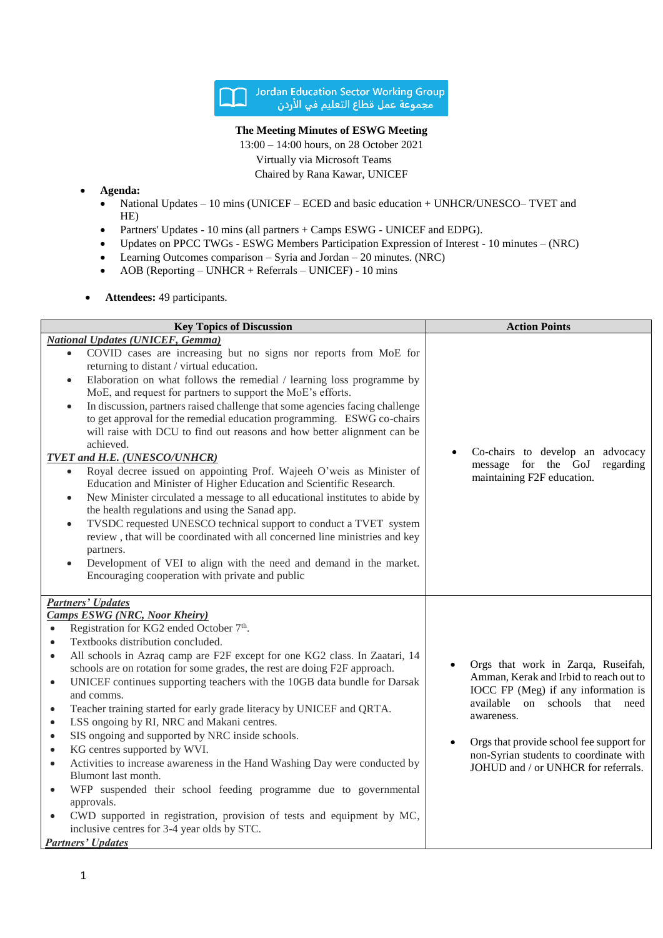

## **The Meeting Minutes of ESWG Meeting**

13:00 – 14:00 hours, on 28 October 2021 Virtually via Microsoft Teams Chaired by Rana Kawar, UNICEF

## **Agenda:**

- National Updates 10 mins (UNICEF ECED and basic education + UNHCR/UNESCO– TVET and HE)
- Partners' Updates 10 mins (all partners + Camps ESWG UNICEF and EDPG).
- Updates on PPCC TWGs ESWG Members Participation Expression of Interest 10 minutes (NRC)
- Learning Outcomes comparison Syria and Jordan  $20$  minutes. (NRC)
- AOB (Reporting UNHCR + Referrals UNICEF) 10 mins
- **Attendees:** 49 participants.

| <b>Key Topics of Discussion</b>                                                                                                                                                                                                                                                                                                                                                                                                                                                                                                                                                                                                                                                                                                                                                                                                                                                                                                                                                                                                                                                                                                                                                                                                                                  | <b>Action Points</b>                                                                                                                                                                                                                                                                                                    |
|------------------------------------------------------------------------------------------------------------------------------------------------------------------------------------------------------------------------------------------------------------------------------------------------------------------------------------------------------------------------------------------------------------------------------------------------------------------------------------------------------------------------------------------------------------------------------------------------------------------------------------------------------------------------------------------------------------------------------------------------------------------------------------------------------------------------------------------------------------------------------------------------------------------------------------------------------------------------------------------------------------------------------------------------------------------------------------------------------------------------------------------------------------------------------------------------------------------------------------------------------------------|-------------------------------------------------------------------------------------------------------------------------------------------------------------------------------------------------------------------------------------------------------------------------------------------------------------------------|
| <b>National Updates (UNICEF, Gemma)</b><br>COVID cases are increasing but no signs nor reports from MoE for<br>$\bullet$<br>returning to distant / virtual education.<br>Elaboration on what follows the remedial / learning loss programme by<br>$\bullet$<br>MoE, and request for partners to support the MoE's efforts.<br>In discussion, partners raised challenge that some agencies facing challenge<br>$\bullet$<br>to get approval for the remedial education programming. ESWG co-chairs<br>will raise with DCU to find out reasons and how better alignment can be<br>achieved.<br><b>TVET and H.E. (UNESCO/UNHCR)</b><br>Royal decree issued on appointing Prof. Wajeeh O'weis as Minister of<br>$\bullet$<br>Education and Minister of Higher Education and Scientific Research.<br>New Minister circulated a message to all educational institutes to abide by<br>$\bullet$<br>the health regulations and using the Sanad app.<br>TVSDC requested UNESCO technical support to conduct a TVET system<br>$\bullet$<br>review, that will be coordinated with all concerned line ministries and key<br>partners.<br>Development of VEI to align with the need and demand in the market.<br>$\bullet$<br>Encouraging cooperation with private and public | Co-chairs to develop an advocacy<br>message for the GoJ<br>regarding<br>maintaining F2F education.                                                                                                                                                                                                                      |
| <b>Partners' Updates</b><br><b>Camps ESWG (NRC, Noor Kheiry)</b><br>Registration for KG2 ended October 7 <sup>th</sup> .<br>$\bullet$<br>Textbooks distribution concluded.<br>$\bullet$<br>All schools in Azraq camp are F2F except for one KG2 class. In Zaatari, 14<br>$\bullet$<br>schools are on rotation for some grades, the rest are doing F2F approach.<br>UNICEF continues supporting teachers with the 10GB data bundle for Darsak<br>$\bullet$<br>and comms.<br>Teacher training started for early grade literacy by UNICEF and QRTA.<br>$\bullet$<br>LSS ongoing by RI, NRC and Makani centres.<br>$\bullet$<br>SIS ongoing and supported by NRC inside schools.<br>$\bullet$<br>KG centres supported by WVI.<br>$\bullet$<br>Activities to increase awareness in the Hand Washing Day were conducted by<br>$\bullet$<br>Blumont last month.<br>WFP suspended their school feeding programme due to governmental<br>$\bullet$<br>approvals.<br>CWD supported in registration, provision of tests and equipment by MC,<br>$\bullet$<br>inclusive centres for 3-4 year olds by STC.<br><b>Partners' Updates</b>                                                                                                                                        | Orgs that work in Zarqa, Ruseifah,<br>Amman, Kerak and Irbid to reach out to<br>IOCC FP (Meg) if any information is<br>available<br>schools<br><sub>on</sub><br>that<br>need<br>awareness.<br>Orgs that provide school fee support for<br>non-Syrian students to coordinate with<br>JOHUD and / or UNHCR for referrals. |